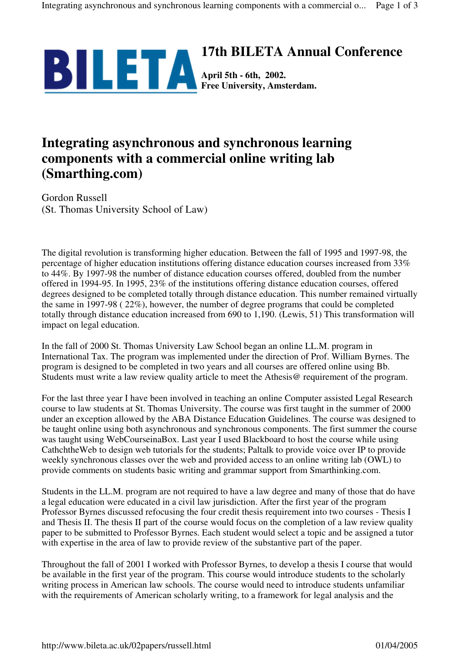

## **Integrating asynchronous and synchronous learning components with a commercial online writing lab (Smarthing.com)**

Gordon Russell (St. Thomas University School of Law)

The digital revolution is transforming higher education. Between the fall of 1995 and 1997-98, the percentage of higher education institutions offering distance education courses increased from 33% to 44%. By 1997-98 the number of distance education courses offered, doubled from the number offered in 1994-95. In 1995, 23% of the institutions offering distance education courses, offered degrees designed to be completed totally through distance education. This number remained virtually the same in 1997-98 ( 22%), however, the number of degree programs that could be completed totally through distance education increased from 690 to 1,190. (Lewis, 51) This transformation will impact on legal education.

In the fall of 2000 St. Thomas University Law School began an online LL.M. program in International Tax. The program was implemented under the direction of Prof. William Byrnes. The program is designed to be completed in two years and all courses are offered online using Bb. Students must write a law review quality article to meet the Athesis@ requirement of the program.

For the last three year I have been involved in teaching an online Computer assisted Legal Research course to law students at St. Thomas University. The course was first taught in the summer of 2000 under an exception allowed by the ABA Distance Education Guidelines. The course was designed to be taught online using both asynchronous and synchronous components. The first summer the course was taught using WebCourseinaBox. Last year I used Blackboard to host the course while using CathchtheWeb to design web tutorials for the students; Paltalk to provide voice over IP to provide weekly synchronous classes over the web and provided access to an online writing lab (OWL) to provide comments on students basic writing and grammar support from Smarthinking.com.

Students in the LL.M. program are not required to have a law degree and many of those that do have a legal education were educated in a civil law jurisdiction. After the first year of the program Professor Byrnes discussed refocusing the four credit thesis requirement into two courses - Thesis I and Thesis II. The thesis II part of the course would focus on the completion of a law review quality paper to be submitted to Professor Byrnes. Each student would select a topic and be assigned a tutor with expertise in the area of law to provide review of the substantive part of the paper.

Throughout the fall of 2001 I worked with Professor Byrnes, to develop a thesis I course that would be available in the first year of the program. This course would introduce students to the scholarly writing process in American law schools. The course would need to introduce students unfamiliar with the requirements of American scholarly writing, to a framework for legal analysis and the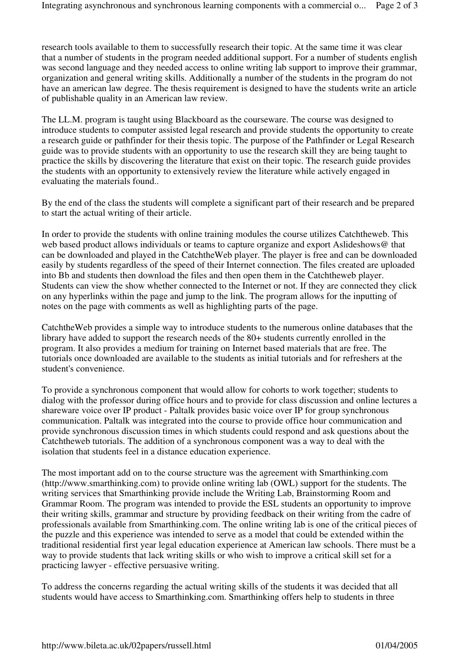research tools available to them to successfully research their topic. At the same time it was clear that a number of students in the program needed additional support. For a number of students english was second language and they needed access to online writing lab support to improve their grammar, organization and general writing skills. Additionally a number of the students in the program do not have an american law degree. The thesis requirement is designed to have the students write an article of publishable quality in an American law review.

The LL.M. program is taught using Blackboard as the courseware. The course was designed to introduce students to computer assisted legal research and provide students the opportunity to create a research guide or pathfinder for their thesis topic. The purpose of the Pathfinder or Legal Research guide was to provide students with an opportunity to use the research skill they are being taught to practice the skills by discovering the literature that exist on their topic. The research guide provides the students with an opportunity to extensively review the literature while actively engaged in evaluating the materials found..

By the end of the class the students will complete a significant part of their research and be prepared to start the actual writing of their article.

In order to provide the students with online training modules the course utilizes Catchtheweb. This web based product allows individuals or teams to capture organize and export Aslideshows@ that can be downloaded and played in the CatchtheWeb player. The player is free and can be downloaded easily by students regardless of the speed of their Internet connection. The files created are uploaded into Bb and students then download the files and then open them in the Catchtheweb player. Students can view the show whether connected to the Internet or not. If they are connected they click on any hyperlinks within the page and jump to the link. The program allows for the inputting of notes on the page with comments as well as highlighting parts of the page.

CatchtheWeb provides a simple way to introduce students to the numerous online databases that the library have added to support the research needs of the 80+ students currently enrolled in the program. It also provides a medium for training on Internet based materials that are free. The tutorials once downloaded are available to the students as initial tutorials and for refreshers at the student's convenience.

To provide a synchronous component that would allow for cohorts to work together; students to dialog with the professor during office hours and to provide for class discussion and online lectures a shareware voice over IP product - Paltalk provides basic voice over IP for group synchronous communication. Paltalk was integrated into the course to provide office hour communication and provide synchronous discussion times in which students could respond and ask questions about the Catchtheweb tutorials. The addition of a synchronous component was a way to deal with the isolation that students feel in a distance education experience.

The most important add on to the course structure was the agreement with Smarthinking.com (http://www.smarthinking.com) to provide online writing lab (OWL) support for the students. The writing services that Smarthinking provide include the Writing Lab, Brainstorming Room and Grammar Room. The program was intended to provide the ESL students an opportunity to improve their writing skills, grammar and structure by providing feedback on their writing from the cadre of professionals available from Smarthinking.com. The online writing lab is one of the critical pieces of the puzzle and this experience was intended to serve as a model that could be extended within the traditional residential first year legal education experience at American law schools. There must be a way to provide students that lack writing skills or who wish to improve a critical skill set for a practicing lawyer - effective persuasive writing.

To address the concerns regarding the actual writing skills of the students it was decided that all students would have access to Smarthinking.com. Smarthinking offers help to students in three